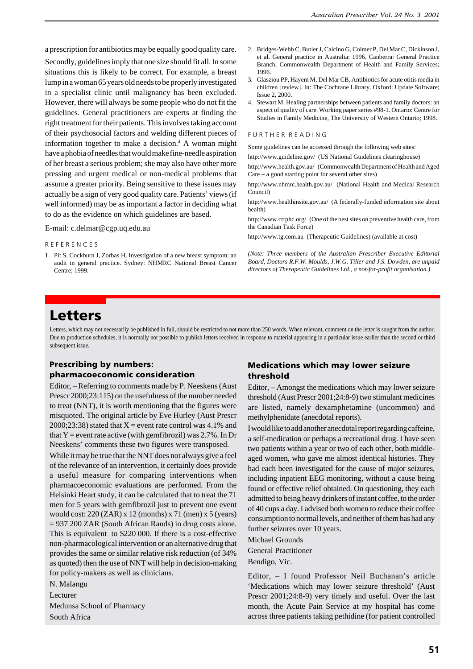a prescription for antibiotics may be equally good quality care.

Secondly, guidelines imply that one size should fit all. In some situations this is likely to be correct. For example, a breast lump in a woman 65 years old needs to be properly investigated in a specialist clinic until malignancy has been excluded. However, there will always be some people who do not fit the guidelines. General practitioners are experts at finding the right treatment for their patients. This involves taking account of their psychosocial factors and welding different pieces of information together to make a decision.<sup>4</sup> A woman might have a phobia of needles that would make fine-needle aspiration of her breast a serious problem; she may also have other more pressing and urgent medical or non-medical problems that assume a greater priority. Being sensitive to these issues may actually be a sign of very good quality care. Patients' views (if well informed) may be as important a factor in deciding what to do as the evidence on which guidelines are based.

E-mail: c.delmar@cgp.uq.edu.au

### R E F E R E N C E S

1. Pit S, Cockburn J, Zorbas H. Investigation of a new breast symptom: an audit in general practice. Sydney: NHMRC National Breast Cancer Centre; 1999.

- 2. Bridges-Webb C, Butler J, Calcino G, Colmer P, Del Mar C, Dickinson J, et al. General practice in Australia: 1996. Canberra: General Practice Branch, Commonwealth Department of Health and Family Services; 1996.
- 3. Glasziou PP, Hayem M, Del Mar CB. Antibiotics for acute otitis media in children [review]. In: The Cochrane Library. Oxford: Update Software; Issue 2, 2000.
- 4. Stewart M. Healing partnerships between patients and family doctors: an aspect of quality of care. Working paper series #98-1. Ontario: Centre for Studies in Family Medicine, The University of Western Ontario; 1998.

#### FURTHER READING

Some guidelines can be accessed through the following web sites:

http://www.guideline.gov/ (US National Guidelines clearinghouse)

http://www.health.gov.au/ (Commonwealth Department of Health and Aged Care – a good starting point for several other sites)

http://www.nhmrc.health.gov.au/ (National Health and Medical Research Council)

http://www.healthinsite.gov.au/ (A federally-funded information site about health)

http://www.ctfphc.org/ (One of the best sites on preventive health care, from the Canadian Task Force)

http://www.tg.com.au (Therapeutic Guidelines) (available at cost)

*(Note: Three members of the Australian Prescriber Executive Editorial Board, Doctors R.F.W. Moulds, J.W.G. Tiller and J.S. Dowden, are unpaid directors of Therapeutic Guidelines Ltd., a not-for-profit organisation.)*

# **Letters**

Letters, which may not necessarily be published in full, should be restricted to not more than 250 words. When relevant, comment on the letter is sought from the author. Due to production schedules, it is normally not possible to publish letters received in response to material appearing in a particular issue earlier than the second or third subsequent issue.

# **Prescribing by numbers: pharmacoeconomic consideration**

Editor, – Referring to comments made by P. Neeskens (Aust Prescr 2000;23:115) on the usefulness of the number needed to treat (NNT), it is worth mentioning that the figures were misquoted. The original article by Eve Hurley (Aust Prescr 2000;23:38) stated that  $X =$  event rate control was 4.1% and that  $Y =$  event rate active (with gemfibrozil) was 2.7%. In Dr Neeskens' comments these two figures were transposed.

While it may be true that the NNT does not always give a feel of the relevance of an intervention, it certainly does provide a useful measure for comparing interventions when pharmacoeconomic evaluations are performed. From the Helsinki Heart study, it can be calculated that to treat the 71 men for 5 years with gemfibrozil just to prevent one event would cost: 220 (ZAR) x 12 (months) x 71 (men) x 5 (years) = 937 200 ZAR (South African Rands) in drug costs alone. This is equivalent to \$220 000. If there is a cost-effective non-pharmacological intervention or an alternative drug that provides the same or similar relative risk reduction (of 34% as quoted) then the use of NNT will help in decision-making for policy-makers as well as clinicians.

N. Malangu

Lecturer

Medunsa School of Pharmacy South Africa

# **Medications which may lower seizure threshold**

Editor, – Amongst the medications which may lower seizure threshold (Aust Prescr 2001;24:8-9) two stimulant medicines are listed, namely dexamphetamine (uncommon) and methylphenidate (anecdotal reports).

I would like to add another anecdotal report regarding caffeine, a self-medication or perhaps a recreational drug. I have seen two patients within a year or two of each other, both middleaged women, who gave me almost identical histories. They had each been investigated for the cause of major seizures, including inpatient EEG monitoring, without a cause being found or effective relief obtained. On questioning, they each admitted to being heavy drinkers of instant coffee, to the order of 40 cups a day. I advised both women to reduce their coffee consumption to normal levels, and neither of them has had any further seizures over 10 years.

Michael Grounds

General Practitioner

Bendigo, Vic.

Editor, – I found Professor Neil Buchanan's article 'Medications which may lower seizure threshold' (Aust Prescr 2001;24:8-9) very timely and useful. Over the last month, the Acute Pain Service at my hospital has come across three patients taking pethidine (for patient controlled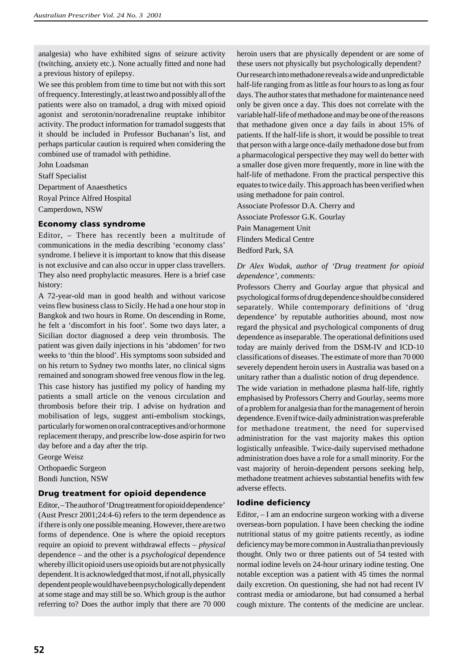analgesia) who have exhibited signs of seizure activity (twitching, anxiety etc.). None actually fitted and none had a previous history of epilepsy.

We see this problem from time to time but not with this sort of frequency. Interestingly, at least two and possibly all of the patients were also on tramadol, a drug with mixed opioid agonist and serotonin/noradrenaline reuptake inhibitor activity. The product information for tramadol suggests that it should be included in Professor Buchanan's list, and perhaps particular caution is required when considering the combined use of tramadol with pethidine.

John Loadsman

Staff Specialist Department of Anaesthetics Royal Prince Alfred Hospital

Camperdown, NSW

# **Economy class syndrome**

Editor, – There has recently been a multitude of communications in the media describing 'economy class' syndrome. I believe it is important to know that this disease is not exclusive and can also occur in upper class travellers. They also need prophylactic measures. Here is a brief case history:

A 72-year-old man in good health and without varicose veins flew business class to Sicily. He had a one hour stop in Bangkok and two hours in Rome. On descending in Rome, he felt a 'discomfort in his foot'. Some two days later, a Sicilian doctor diagnosed a deep vein thrombosis. The patient was given daily injections in his 'abdomen' for two weeks to 'thin the blood'. His symptoms soon subsided and on his return to Sydney two months later, no clinical signs remained and sonogram showed free venous flow in the leg. This case history has justified my policy of handing my patients a small article on the venous circulation and thrombosis before their trip. I advise on hydration and mobilisation of legs, suggest anti-embolism stockings, particularly for women on oral contraceptives and/or hormone replacement therapy, and prescribe low-dose aspirin for two day before and a day after the trip.

George Weisz Orthopaedic Surgeon Bondi Junction, NSW

# **Drug treatment for opioid dependence**

Editor, – The author of 'Drug treatment for opioid dependence' (Aust Prescr 2001;24:4-6) refers to the term dependence as if there is only one possible meaning. However, there are two forms of dependence. One is where the opioid receptors require an opioid to prevent withdrawal effects – *physical* dependence – and the other is a *psychological* dependence whereby illicit opioid users use opioids but are not physically dependent. It is acknowledged that most, if not all, physically dependent people would have been psychologically dependent at some stage and may still be so. Which group is the author referring to? Does the author imply that there are 70 000

heroin users that are physically dependent or are some of these users not physically but psychologically dependent? Our research into methadone reveals a wide and unpredictable half-life ranging from as little as four hours to as long as four days. The author states that methadone for maintenance need only be given once a day. This does not correlate with the variable half-life of methadone and may be one of the reasons that methadone given once a day fails in about 15% of patients. If the half-life is short, it would be possible to treat that person with a large once-daily methadone dose but from a pharmacological perspective they may well do better with a smaller dose given more frequently, more in line with the half-life of methadone. From the practical perspective this equates to twice daily. This approach has been verified when using methadone for pain control.

Associate Professor D.A. Cherry and Associate Professor G.K. Gourlay Pain Management Unit Flinders Medical Centre Bedford Park, SA

# *Dr Alex Wodak, author of 'Drug treatment for opioid dependence', comments:*

Professors Cherry and Gourlay argue that physical and psychological forms of drug dependence should be considered separately. While contemporary definitions of 'drug dependence' by reputable authorities abound, most now regard the physical and psychological components of drug dependence as inseparable. The operational definitions used today are mainly derived from the DSM-IV and ICD-10 classifications of diseases. The estimate of more than 70 000 severely dependent heroin users in Australia was based on a unitary rather than a dualistic notion of drug dependence.

The wide variation in methadone plasma half-life, rightly emphasised by Professors Cherry and Gourlay, seems more of a problem for analgesia than for the management of heroin dependence. Even if twice-daily administration was preferable for methadone treatment, the need for supervised administration for the vast majority makes this option logistically unfeasible. Twice-daily supervised methadone administration does have a role for a small minority. For the vast majority of heroin-dependent persons seeking help, methadone treatment achieves substantial benefits with few adverse effects.

# **Iodine deficiency**

Editor, – I am an endocrine surgeon working with a diverse overseas-born population. I have been checking the iodine nutritional status of my goitre patients recently, as iodine deficiency may be more common in Australia than previously thought. Only two or three patients out of 54 tested with normal iodine levels on 24-hour urinary iodine testing. One notable exception was a patient with 45 times the normal daily excretion. On questioning, she had not had recent IV contrast media or amiodarone, but had consumed a herbal cough mixture. The contents of the medicine are unclear.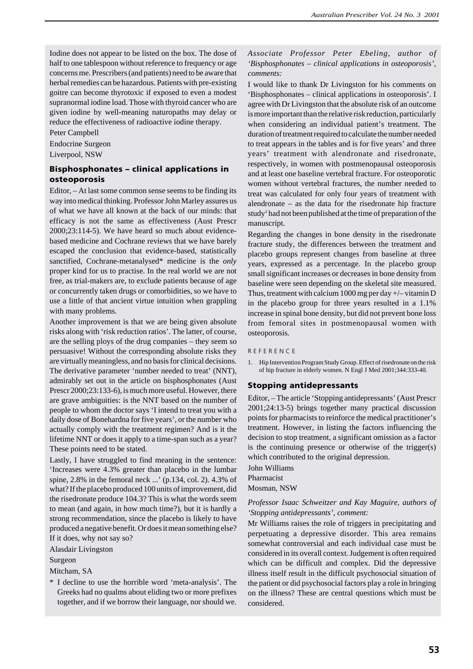Iodine does not appear to be listed on the box. The dose of half to one tablespoon without reference to frequency or age concerns me. Prescribers (and patients) need to be aware that herbal remedies can be hazardous. Patients with pre-existing goitre can become thyrotoxic if exposed to even a modest supranormal iodine load. Those with thyroid cancer who are given iodine by well-meaning naturopaths may delay or reduce the effectiveness of radioactive iodine therapy.

Peter Campbell

Endocrine Surgeon Liverpool, NSW

# **Bisphosphonates – clinical applications in osteoporosis**

Editor, – At last some common sense seems to be finding its way into medical thinking. Professor John Marley assures us of what we have all known at the back of our minds: that efficacy is not the same as effectiveness (Aust Prescr 2000;23:114-5). We have heard so much about evidencebased medicine and Cochrane reviews that we have barely escaped the conclusion that evidence-based, statistically sanctified, Cochrane-metanalysed\* medicine is the *only* proper kind for us to practise. In the real world we are not free, as trial-makers are, to exclude patients because of age or concurrently taken drugs or comorbidities, so we have to use a little of that ancient virtue intuition when grappling with many problems.

Another improvement is that we are being given absolute risks along with 'risk reduction ratios'. The latter, of course, are the selling ploys of the drug companies – they seem so persuasive! Without the corresponding absolute risks they are virtually meaningless, and no basis for clinical decisions. The derivative parameter 'number needed to treat' (NNT), admirably set out in the article on bisphosphonates (Aust Prescr 2000;23:133-6), is much more useful. However, there are grave ambiguities: is the NNT based on the number of people to whom the doctor says 'I intend to treat you with a daily dose of Bonehardna for five years', or the number who actually comply with the treatment regimen? And is it the lifetime NNT or does it apply to a time-span such as a year? These points need to be stated.

Lastly, I have struggled to find meaning in the sentence: 'Increases were 4.3% greater than placebo in the lumbar spine, 2.8% in the femoral neck ...' (p.134, col. 2). 4.3% of what? If the placebo produced 100 units of improvement, did the risedronate produce 104.3? This is what the words seem to mean (and again, in how much time?), but it is hardly a strong recommendation, since the placebo is likely to have produced a negative benefit. Or does it mean something else? If it does, why not say so?

Alasdair Livingston

Surgeon

Mitcham, SA

\* I decline to use the horrible word 'meta-analysis'. The Greeks had no qualms about eliding two or more prefixes together, and if we borrow their language, nor should we. *Associate Professor Peter Ebeling, author of 'Bisphosphonates – clinical applications in osteoporosis', comments:*

I would like to thank Dr Livingston for his comments on 'Bisphosphonates – clinical applications in osteoporosis'. I agree with Dr Livingston that the absolute risk of an outcome is more important than the relative risk reduction, particularly when considering an individual patient's treatment. The duration of treatment required to calculate the number needed to treat appears in the tables and is for five years' and three years' treatment with alendronate and risedronate, respectively, in women with postmenopausal osteoporosis and at least one baseline vertebral fracture. For osteoporotic women without vertebral fractures, the number needed to treat was calculated for only four years of treatment with alendronate – as the data for the risedronate hip fracture study<sup>1</sup> had not been published at the time of preparation of the manuscript.

Regarding the changes in bone density in the risedronate fracture study, the differences between the treatment and placebo groups represent changes from baseline at three years, expressed as a percentage. In the placebo group small significant increases or decreases in bone density from baseline were seen depending on the skeletal site measured. Thus, treatment with calcium  $1000$  mg per day  $+/-$  vitamin D in the placebo group for three years resulted in a 1.1% increase in spinal bone density, but did not prevent bone loss from femoral sites in postmenopausal women with osteoporosis.

#### R E F E R E N C E

1. Hip Intervention Program Study Group. Effect of risedronate on the risk of hip fracture in elderly women. N Engl J Med 2001;344:333-40.

### **Stopping antidepressants**

Editor, – The article 'Stopping antidepressants' (Aust Prescr 2001;24:13-5) brings together many practical discussion points for pharmacists to reinforce the medical practitioner's treatment. However, in listing the factors influencing the decision to stop treatment, a significant omission as a factor is the continuing presence or otherwise of the trigger(s) which contributed to the original depression.

John Williams Pharmacist Mosman, NSW

### *Professor Isaac Schweitzer and Kay Maguire, authors of 'Stopping antidepressants', comment:*

Mr Williams raises the role of triggers in precipitating and perpetuating a depressive disorder. This area remains somewhat controversial and each individual case must be considered in its overall context. Judgement is often required which can be difficult and complex. Did the depressive illness itself result in the difficult psychosocial situation of the patient or did psychosocial factors play a role in bringing on the illness? These are central questions which must be considered.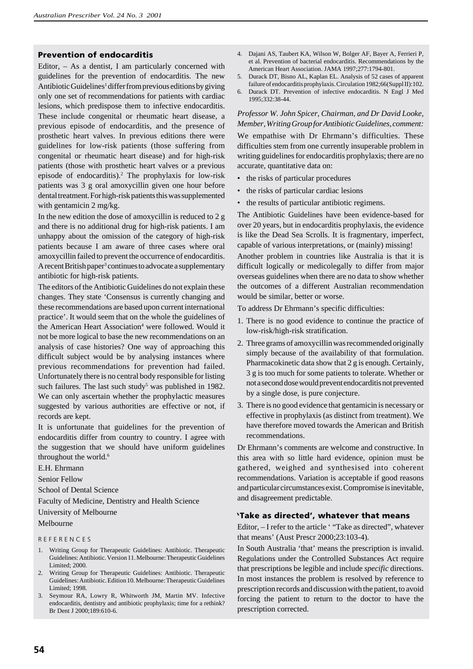### **Prevention of endocarditis**

Editor, – As a dentist, I am particularly concerned with guidelines for the prevention of endocarditis. The new Antibiotic Guidelines<sup>1</sup> differ from previous editions by giving only one set of recommendations for patients with cardiac lesions, which predispose them to infective endocarditis. These include congenital or rheumatic heart disease, a previous episode of endocarditis, and the presence of prosthetic heart valves. In previous editions there were guidelines for low-risk patients (those suffering from congenital or rheumatic heart disease) and for high-risk patients (those with prosthetic heart valves or a previous episode of endocarditis).2 The prophylaxis for low-risk patients was 3 g oral amoxycillin given one hour before dental treatment. For high-risk patients this was supplemented with gentamicin 2 mg/kg.

In the new edition the dose of amoxycillin is reduced to 2 g and there is no additional drug for high-risk patients. I am unhappy about the omission of the category of high-risk patients because I am aware of three cases where oral amoxycillin failed to prevent the occurrence of endocarditis. A recent British paper<sup>3</sup> continues to advocate a supplementary antibiotic for high-risk patients.

The editors of the Antibiotic Guidelines do not explain these changes. They state 'Consensus is currently changing and these recommendations are based upon current international practice'. It would seem that on the whole the guidelines of the American Heart Association<sup>4</sup> were followed. Would it not be more logical to base the new recommendations on an analysis of case histories? One way of approaching this difficult subject would be by analysing instances where previous recommendations for prevention had failed. Unfortunately there is no central body responsible for listing such failures. The last such study<sup>5</sup> was published in 1982. We can only ascertain whether the prophylactic measures suggested by various authorities are effective or not, if records are kept.

It is unfortunate that guidelines for the prevention of endocarditis differ from country to country. I agree with the suggestion that we should have uniform guidelines throughout the world.<sup>6</sup>

E.H. Ehrmann

Senior Fellow

School of Dental Science

Faculty of Medicine, Dentistry and Health Science

University of Melbourne

### Melbourne

#### R E F E R E N C E S

- 1. Writing Group for Therapeutic Guidelines: Antibiotic. Therapeutic Guidelines: Antibiotic. Version 11. Melbourne: Therapeutic Guidelines Limited; 2000.
- 2. Writing Group for Therapeutic Guidelines: Antibiotic. Therapeutic Guidelines: Antibiotic. Edition 10. Melbourne: Therapeutic Guidelines Limited; 1998.
- 3. Seymour RA, Lowry R, Whitworth JM, Martin MV. Infective endocarditis, dentistry and antibiotic prophylaxis; time for a rethink? Br Dent J 2000;189:610-6.
- 4. Dajani AS, Taubert KA, Wilson W, Bolger AF, Bayer A, Ferrieri P, et al. Prevention of bacterial endocarditis. Recommendations by the American Heart Association. JAMA 1997;277:1794-801.
- 5. Durack DT, Bisno AL, Kaplan EL. Analysis of 52 cases of apparent failure of endocarditis prophylaxis. Circulation 1982;66(Suppl II):102.
- 6. Durack DT. Prevention of infective endocarditis. N Engl J Med 1995;332:38-44.

### *Professor W. John Spicer, Chairman, and Dr David Looke, Member, Writing Group for Antibiotic Guidelines, comment:*

We empathise with Dr Ehrmann's difficulties. These difficulties stem from one currently insuperable problem in writing guidelines for endocarditis prophylaxis; there are no accurate, quantitative data on:

- the risks of particular procedures
- the risks of particular cardiac lesions
- the results of particular antibiotic regimens.

The Antibiotic Guidelines have been evidence-based for over 20 years, but in endocarditis prophylaxis, the evidence is like the Dead Sea Scrolls. It is fragmentary, imperfect, capable of various interpretations, or (mainly) missing! Another problem in countries like Australia is that it is difficult logically or medicolegally to differ from major overseas guidelines when there are no data to show whether the outcomes of a different Australian recommendation would be similar, better or worse.

To address Dr Ehrmann's specific difficulties:

- 1. There is no good evidence to continue the practice of low-risk/high-risk stratification.
- 2. Three grams of amoxycillin was recommended originally simply because of the availability of that formulation. Pharmacokinetic data show that 2 g is enough. Certainly, 3 g is too much for some patients to tolerate. Whether or not a second dose would prevent endocarditis not prevented by a single dose, is pure conjecture.
- 3. There is no good evidence that gentamicin is necessary or effective in prophylaxis (as distinct from treatment). We have therefore moved towards the American and British recommendations.

Dr Ehrmann's comments are welcome and constructive. In this area with so little hard evidence, opinion must be gathered, weighed and synthesised into coherent recommendations. Variation is acceptable if good reasons and particular circumstances exist. Compromise is inevitable, and disagreement predictable.

### **Take as directed', whatever that means** '

Editor, – I refer to the article ' "Take as directed", whatever that means' (Aust Prescr 2000;23:103-4).

In South Australia 'that' means the prescription is invalid. Regulations under the Controlled Substances Act require that prescriptions be legible and include *specific* directions. In most instances the problem is resolved by reference to prescription records and discussion with the patient, to avoid forcing the patient to return to the doctor to have the prescription corrected.